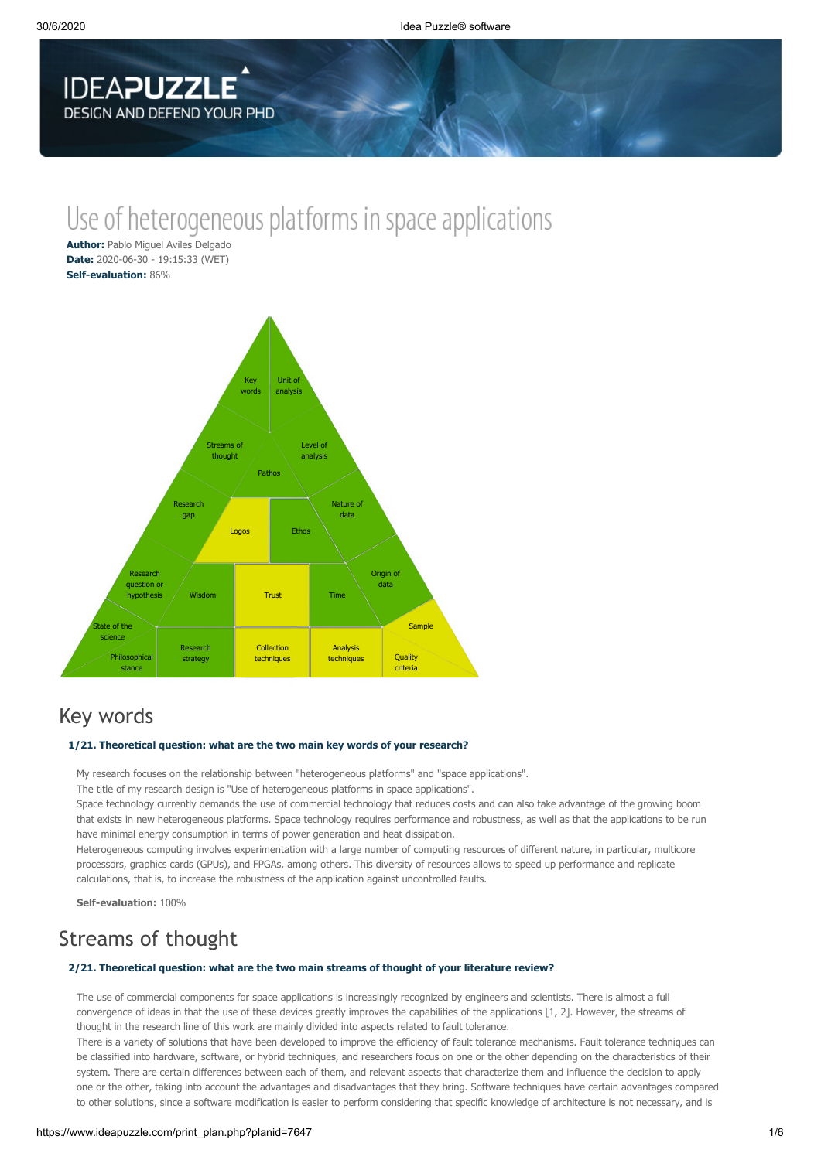

# Use of heterogeneous platforms in space applications

**Author:** Pablo Miguel Aviles Delgado **Date:** 2020-06-30 - 19:15:33 (WET) **Self-evaluation:** 86%



# Key words

### **1/21. Theoretical question: what are the two main key words of your research?**

My research focuses on the relationship between "heterogeneous platforms" and "space applications".

The title of my research design is "Use of heterogeneous platforms in space applications".

Space technology currently demands the use of commercial technology that reduces costs and can also take advantage of the growing boom that exists in new heterogeneous platforms. Space technology requires performance and robustness, as well as that the applications to be run have minimal energy consumption in terms of power generation and heat dissipation.

Heterogeneous computing involves experimentation with a large number of computing resources of different nature, in particular, multicore processors, graphics cards (GPUs), and FPGAs, among others. This diversity of resources allows to speed up performance and replicate calculations, that is, to increase the robustness of the application against uncontrolled faults.

**Self-evaluation:** 100%

# Streams of thought

#### **2/21. Theoretical question: what are the two main streams of thought of your literature review?**

The use of commercial components for space applications is increasingly recognized by engineers and scientists. There is almost a full convergence of ideas in that the use of these devices greatly improves the capabilities of the applications [1, 2]. However, the streams of thought in the research line of this work are mainly divided into aspects related to fault tolerance.

There is a variety of solutions that have been developed to improve the efficiency of fault tolerance mechanisms. Fault tolerance techniques can be classified into hardware, software, or hybrid techniques, and researchers focus on one or the other depending on the characteristics of their system. There are certain differences between each of them, and relevant aspects that characterize them and influence the decision to apply one or the other, taking into account the advantages and disadvantages that they bring. Software techniques have certain advantages compared to other solutions, since a software modification is easier to perform considering that specific knowledge of architecture is not necessary, and is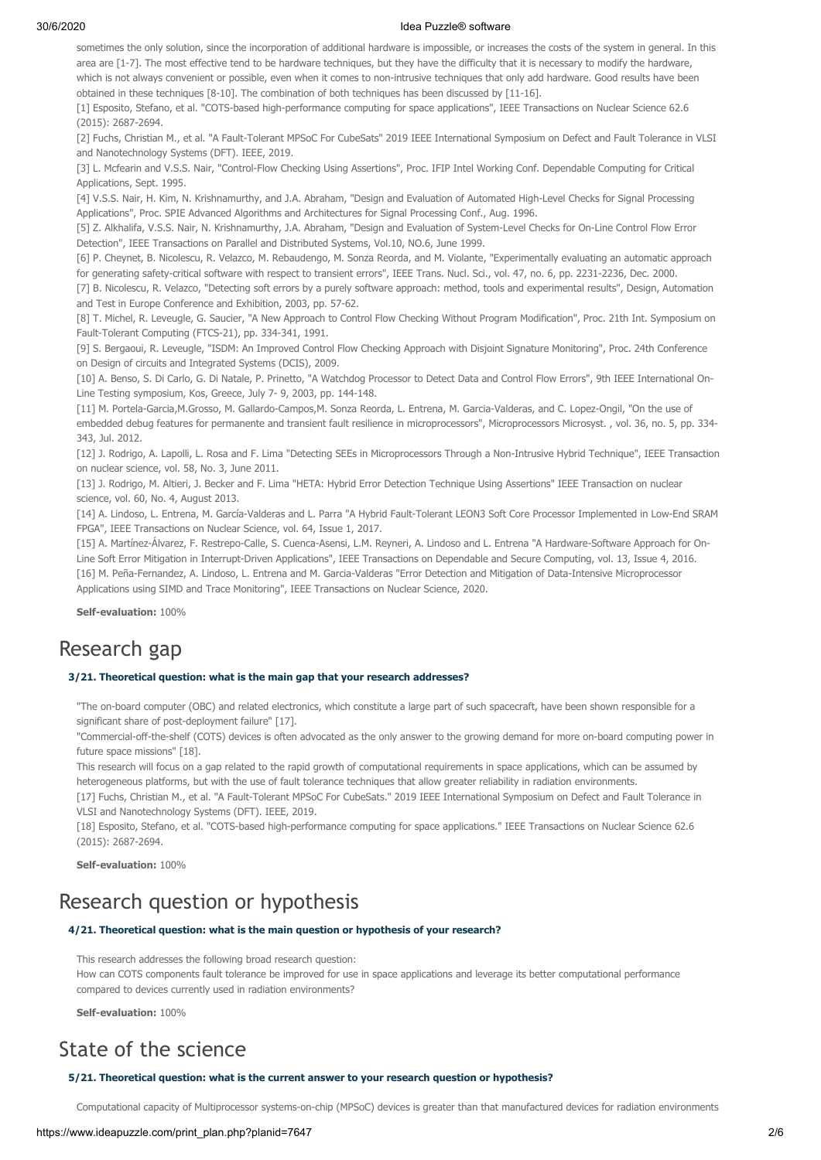sometimes the only solution, since the incorporation of additional hardware is impossible, or increases the costs of the system in general. In this area are [1-7]. The most effective tend to be hardware techniques, but they have the difficulty that it is necessary to modify the hardware, which is not always convenient or possible, even when it comes to non-intrusive techniques that only add hardware. Good results have been obtained in these techniques [8-10]. The combination of both techniques has been discussed by [11-16].

[1] Esposito, Stefano, et al. "COTS-based high-performance computing for space applications", IEEE Transactions on Nuclear Science 62.6 (2015): 2687-2694.

[2] Fuchs, Christian M., et al. "A Fault-Tolerant MPSoC For CubeSats" 2019 IEEE International Symposium on Defect and Fault Tolerance in VLSI and Nanotechnology Systems (DFT). IEEE, 2019.

[3] L. Mcfearin and V.S.S. Nair, "Control-Flow Checking Using Assertions", Proc. IFIP Intel Working Conf. Dependable Computing for Critical Applications, Sept. 1995.

[4] V.S.S. Nair, H. Kim, N. Krishnamurthy, and J.A. Abraham, "Design and Evaluation of Automated High-Level Checks for Signal Processing Applications", Proc. SPIE Advanced Algorithms and Architectures for Signal Processing Conf., Aug. 1996.

[5] Z. Alkhalifa, V.S.S. Nair, N. Krishnamurthy, J.A. Abraham, "Design and Evaluation of System-Level Checks for On-Line Control Flow Error Detection", IEEE Transactions on Parallel and Distributed Systems, Vol.10, NO.6, June 1999.

[6] P. Cheynet, B. Nicolescu, R. Velazco, M. Rebaudengo, M. Sonza Reorda, and M. Violante, "Experimentally evaluating an automatic approach for generating safety-critical software with respect to transient errors", IEEE Trans. Nucl. Sci., vol. 47, no. 6, pp. 2231-2236, Dec. 2000.

[7] B. Nicolescu, R. Velazco, "Detecting soft errors by a purely software approach: method, tools and experimental results", Design, Automation and Test in Europe Conference and Exhibition, 2003, pp. 57-62.

[8] T. Michel, R. Leveugle, G. Saucier, "A New Approach to Control Flow Checking Without Program Modification", Proc. 21th Int. Symposium on Fault-Tolerant Computing (FTCS-21), pp. 334-341, 1991.

[9] S. Bergaoui, R. Leveugle, "ISDM: An Improved Control Flow Checking Approach with Disjoint Signature Monitoring", Proc. 24th Conference on Design of circuits and Integrated Systems (DCIS), 2009.

[10] A. Benso, S. Di Carlo, G. Di Natale, P. Prinetto, "A Watchdog Processor to Detect Data and Control Flow Errors", 9th IEEE International On-Line Testing symposium, Kos, Greece, July 7- 9, 2003, pp. 144-148.

[11] M. Portela-Garcia,M.Grosso, M. Gallardo-Campos,M. Sonza Reorda, L. Entrena, M. Garcia-Valderas, and C. Lopez-Ongil, "On the use of embedded debug features for permanente and transient fault resilience in microprocessors", Microprocessors Microsyst., vol. 36, no. 5, pp. 334-343, Jul. 2012.

[12] J. Rodrigo, A. Lapolli, L. Rosa and F. Lima "Detecting SEEs in Microprocessors Through a Non-Intrusive Hybrid Technique", IEEE Transaction on nuclear science, vol. 58, No. 3, June 2011.

[13] J. Rodrigo, M. Altieri, J. Becker and F. Lima "HETA: Hybrid Error Detection Technique Using Assertions" IEEE Transaction on nuclear science, vol. 60, No. 4, August 2013.

[14] A. Lindoso, L. Entrena, M. García-Valderas and L. Parra "A Hybrid Fault-Tolerant LEON3 Soft Core Processor Implemented in Low-End SRAM FPGA", IEEE Transactions on Nuclear Science, vol. 64, Issue 1, 2017.

[15] A. Martínez-Álvarez, F. Restrepo-Calle, S. Cuenca-Asensi, L.M. Reyneri, A. Lindoso and L. Entrena "A Hardware-Software Approach for On-Line Soft Error Mitigation in Interrupt-Driven Applications", IEEE Transactions on Dependable and Secure Computing, vol. 13, Issue 4, 2016.

[16] M. Peña-Fernandez, A. Lindoso, L. Entrena and M. Garcia-Valderas "Error Detection and Mitigation of Data-Intensive Microprocessor

Applications using SIMD and Trace Monitoring", IEEE Transactions on Nuclear Science, 2020.

**Self-evaluation:** 100%

### Research gap

#### **3/21. Theoretical question: what is the main gap that your research addresses?**

"The on-board computer (OBC) and related electronics, which constitute a large part of such spacecraft, have been shown responsible for a significant share of post-deployment failure" [17].

"Commercial-off-the-shelf (COTS) devices is often advocated as the only answer to the growing demand for more on-board computing power in future space missions" [18].

This research will focus on a gap related to the rapid growth of computational requirements in space applications, which can be assumed by heterogeneous platforms, but with the use of fault tolerance techniques that allow greater reliability in radiation environments.

[17] Fuchs, Christian M., et al. "A Fault-Tolerant MPSoC For CubeSats." 2019 IEEE International Symposium on Defect and Fault Tolerance in VLSI and Nanotechnology Systems (DFT). IEEE, 2019.

[18] Esposito, Stefano, et al. "COTS-based high-performance computing for space applications." IEEE Transactions on Nuclear Science 62.6 (2015): 2687-2694.

**Self-evaluation:** 100%

# Research question or hypothesis

### **4/21. Theoretical question: what is the main question or hypothesis of your research?**

This research addresses the following broad research question: How can COTS components fault tolerance be improved for use in space applications and leverage its better computational performance compared to devices currently used in radiation environments?

**Self-evaluation:** 100%

### State of the science

### **5/21. Theoretical question: what is the current answer to your research question or hypothesis?**

Computational capacity of Multiprocessor systems-on-chip (MPSoC) devices is greater than that manufactured devices for radiation environments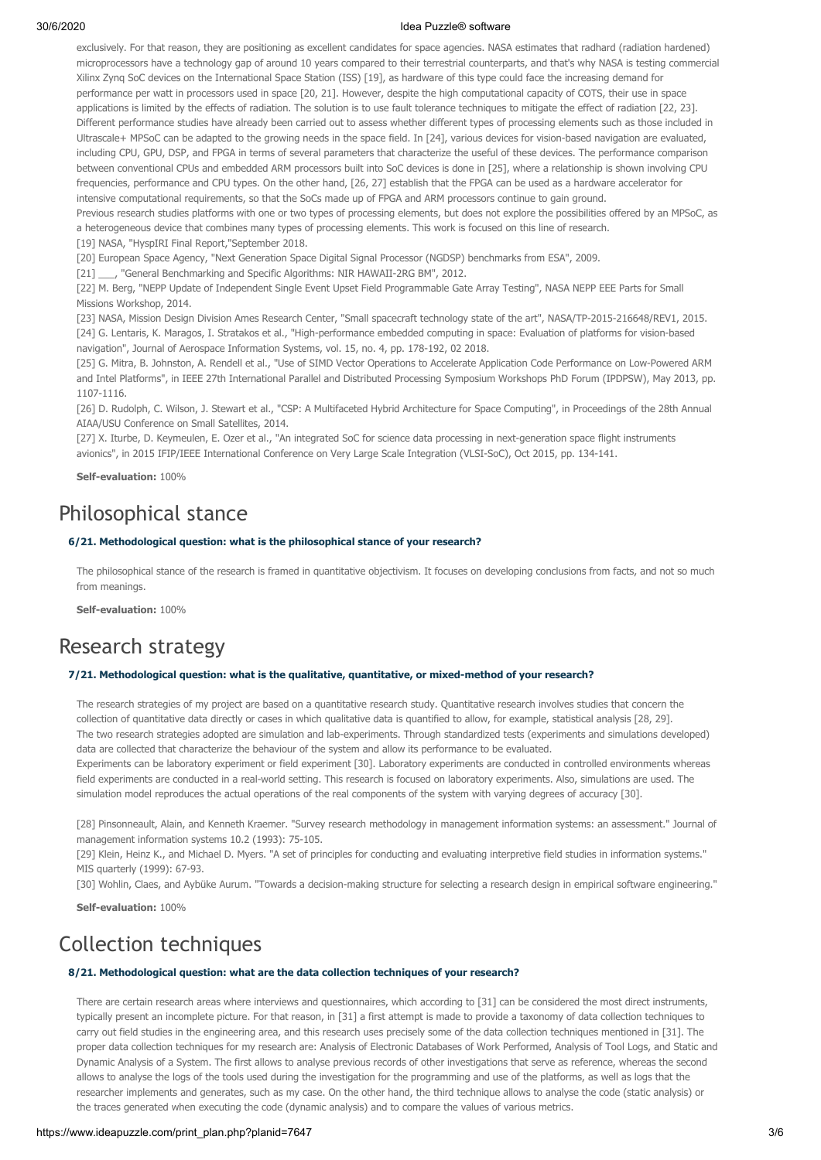exclusively. For that reason, they are positioning as excellent candidates for space agencies. NASA estimates that radhard (radiation hardened) microprocessors have a technology gap of around 10 years compared to their terrestrial counterparts, and that's why NASA is testing commercial Xilinx Zynq SoC devices on the International Space Station (ISS) [19], as hardware of this type could face the increasing demand for performance per watt in processors used in space [20, 21]. However, despite the high computational capacity of COTS, their use in space applications is limited by the effects of radiation. The solution is to use fault tolerance techniques to mitigate the effect of radiation [22, 23]. Different performance studies have already been carried out to assess whether different types of processing elements such as those included in Ultrascale+ MPSoC can be adapted to the growing needs in the space field. In [24], various devices for vision-based navigation are evaluated, including CPU, GPU, DSP, and FPGA in terms of several parameters that characterize the useful of these devices. The performance comparison between conventional CPUs and embedded ARM processors built into SoC devices is done in [25], where a relationship is shown involving CPU frequencies, performance and CPU types. On the other hand, [26, 27] establish that the FPGA can be used as a hardware accelerator for intensive computational requirements, so that the SoCs made up of FPGA and ARM processors continue to gain ground.

Previous research studies platforms with one or two types of processing elements, but does not explore the possibilities offered by an MPSoC, as a heterogeneous device that combines many types of processing elements. This work is focused on this line of research.

[19] NASA, "HyspIRI Final Report,"September 2018.

[20] European Space Agency, "Next Generation Space Digital Signal Processor (NGDSP) benchmarks from ESA", 2009.

[21] \_\_\_, "General Benchmarking and Specific Algorithms: NIR HAWAII-2RG BM", 2012.

[22] M. Berg, "NEPP Update of Independent Single Event Upset Field Programmable Gate Array Testing", NASA NEPP EEE Parts for Small Missions Workshop, 2014.

[23] NASA, Mission Design Division Ames Research Center, "Small spacecraft technology state of the art", NASA/TP-2015-216648/REV1, 2015. [24] G. Lentaris, K. Maragos, I. Stratakos et al., "High-performance embedded computing in space: Evaluation of platforms for vision-based navigation", Journal of Aerospace Information Systems, vol. 15, no. 4, pp. 178-192, 02 2018.

[25] G. Mitra, B. Johnston, A. Rendell et al., "Use of SIMD Vector Operations to Accelerate Application Code Performance on Low-Powered ARM and Intel Platforms", in IEEE 27th International Parallel and Distributed Processing Symposium Workshops PhD Forum (IPDPSW), May 2013, pp. 1107-1116.

[26] D. Rudolph, C. Wilson, J. Stewart et al., "CSP: A Multifaceted Hybrid Architecture for Space Computing", in Proceedings of the 28th Annual AIAA/USU Conference on Small Satellites, 2014.

[27] X. Iturbe, D. Keymeulen, E. Ozer et al., "An integrated SoC for science data processing in next-generation space flight instruments avionics", in 2015 IFIP/IEEE International Conference on Very Large Scale Integration (VLSI-SoC), Oct 2015, pp. 134-141.

**Self-evaluation:** 100%

# Philosophical stance

### **6/21. Methodological question: what is the philosophical stance of your research?**

The philosophical stance of the research is framed in quantitative objectivism. It focuses on developing conclusions from facts, and not so much from meanings.

**Self-evaluation:** 100%

### Research strategy

#### **7/21. Methodological question: what is the qualitative, quantitative, or mixed-method of your research?**

The research strategies of my project are based on a quantitative research study. Quantitative research involves studies that concern the collection of quantitative data directly or cases in which qualitative data is quantified to allow, for example, statistical analysis [28, 29]. The two research strategies adopted are simulation and lab-experiments. Through standardized tests (experiments and simulations developed) data are collected that characterize the behaviour of the system and allow its performance to be evaluated.

Experiments can be laboratory experiment or field experiment [30]. Laboratory experiments are conducted in controlled environments whereas field experiments are conducted in a real-world setting. This research is focused on laboratory experiments. Also, simulations are used. The simulation model reproduces the actual operations of the real components of the system with varying degrees of accuracy [30].

[28] Pinsonneault, Alain, and Kenneth Kraemer. "Survey research methodology in management information systems: an assessment." Journal of management information systems 10.2 (1993): 75-105.

[29] Klein, Heinz K., and Michael D. Myers. "A set of principles for conducting and evaluating interpretive field studies in information systems." MIS quarterly (1999): 67-93.

[30] Wohlin, Claes, and Aybüke Aurum. "Towards a decision-making structure for selecting a research design in empirical software engineering."

**Self-evaluation:** 100%

### Collection techniques

### **8/21. Methodological question: what are the data collection techniques of your research?**

There are certain research areas where interviews and questionnaires, which according to [31] can be considered the most direct instruments, typically present an incomplete picture. For that reason, in [31] a first attempt is made to provide a taxonomy of data collection techniques to carry out field studies in the engineering area, and this research uses precisely some of the data collection techniques mentioned in [31]. The proper data collection techniques for my research are: Analysis of Electronic Databases of Work Performed, Analysis of Tool Logs, and Static and Dynamic Analysis of a System. The first allows to analyse previous records of other investigations that serve as reference, whereas the second allows to analyse the logs of the tools used during the investigation for the programming and use of the platforms, as well as logs that the researcher implements and generates, such as my case. On the other hand, the third technique allows to analyse the code (static analysis) or the traces generated when executing the code (dynamic analysis) and to compare the values of various metrics.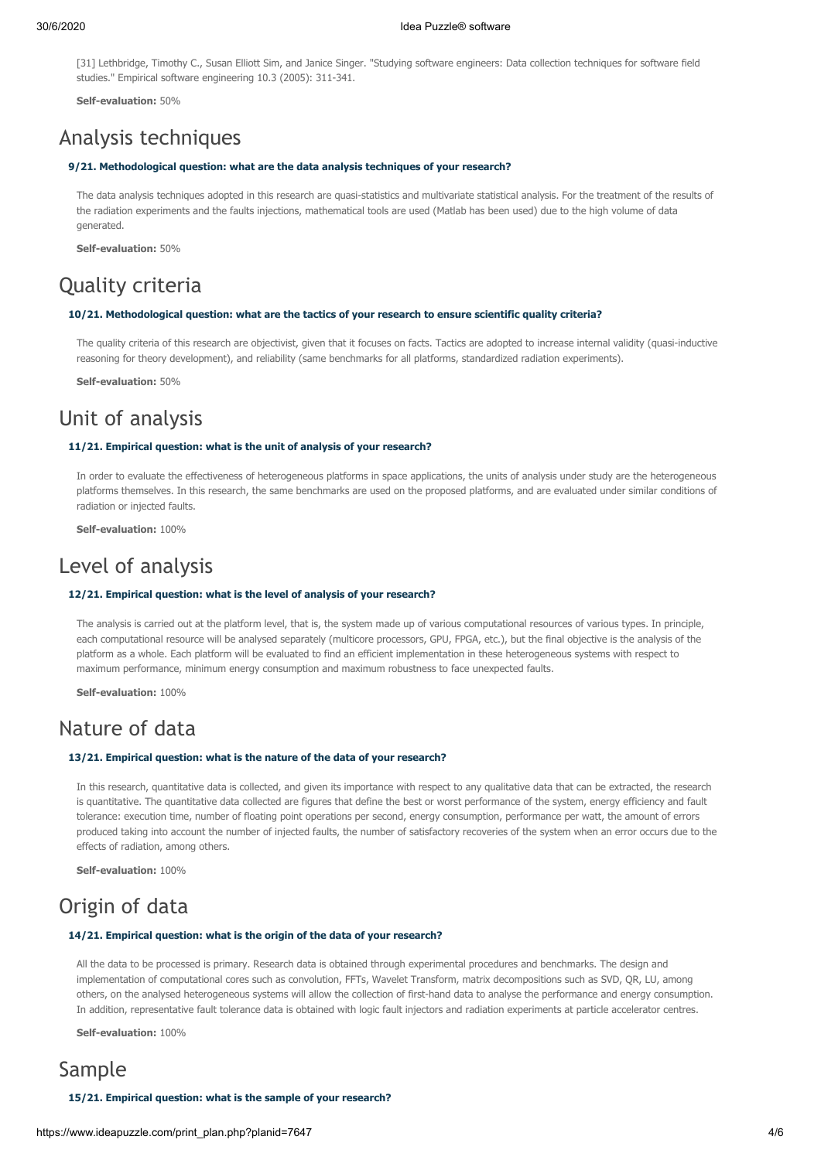[31] Lethbridge, Timothy C., Susan Elliott Sim, and Janice Singer. "Studying software engineers: Data collection techniques for software field studies." Empirical software engineering 10.3 (2005): 311-341.

**Self-evaluation:** 50%

### Analysis techniques

#### **9/21. Methodological question: what are the data analysis techniques of your research?**

The data analysis techniques adopted in this research are quasi-statistics and multivariate statistical analysis. For the treatment of the results of the radiation experiments and the faults injections, mathematical tools are used (Matlab has been used) due to the high volume of data generated.

**Self-evaluation:** 50%

# Quality criteria

### **10/21. Methodological question: what are the tactics of your research to ensure scientific quality criteria?**

The quality criteria of this research are objectivist, given that it focuses on facts. Tactics are adopted to increase internal validity (quasi-inductive reasoning for theory development), and reliability (same benchmarks for all platforms, standardized radiation experiments).

**Self-evaluation:** 50%

# Unit of analysis

### **11/21. Empirical question: what is the unit of analysis of your research?**

In order to evaluate the effectiveness of heterogeneous platforms in space applications, the units of analysis under study are the heterogeneous platforms themselves. In this research, the same benchmarks are used on the proposed platforms, and are evaluated under similar conditions of radiation or injected faults.

**Self-evaluation:** 100%

### Level of analysis

#### **12/21. Empirical question: what is the level of analysis of your research?**

The analysis is carried out at the platform level, that is, the system made up of various computational resources of various types. In principle, each computational resource will be analysed separately (multicore processors, GPU, FPGA, etc.), but the final objective is the analysis of the platform as a whole. Each platform will be evaluated to find an efficient implementation in these heterogeneous systems with respect to maximum performance, minimum energy consumption and maximum robustness to face unexpected faults.

**Self-evaluation:** 100%

### Nature of data

### **13/21. Empirical question: what is the nature of the data of your research?**

In this research, quantitative data is collected, and given its importance with respect to any qualitative data that can be extracted, the research is quantitative. The quantitative data collected are figures that define the best or worst performance of the system, energy efficiency and fault tolerance: execution time, number of floating point operations per second, energy consumption, performance per watt, the amount of errors produced taking into account the number of injected faults, the number of satisfactory recoveries of the system when an error occurs due to the effects of radiation, among others.

**Self-evaluation:** 100%

# Origin of data

### **14/21. Empirical question: what is the origin of the data of your research?**

All the data to be processed is primary. Research data is obtained through experimental procedures and benchmarks. The design and implementation of computational cores such as convolution, FFTs, Wavelet Transform, matrix decompositions such as SVD, QR, LU, among others, on the analysed heterogeneous systems will allow the collection of first-hand data to analyse the performance and energy consumption. In addition, representative fault tolerance data is obtained with logic fault injectors and radiation experiments at particle accelerator centres.

**Self-evaluation:** 100%

### Sample

**15/21. Empirical question: what is the sample of your research?**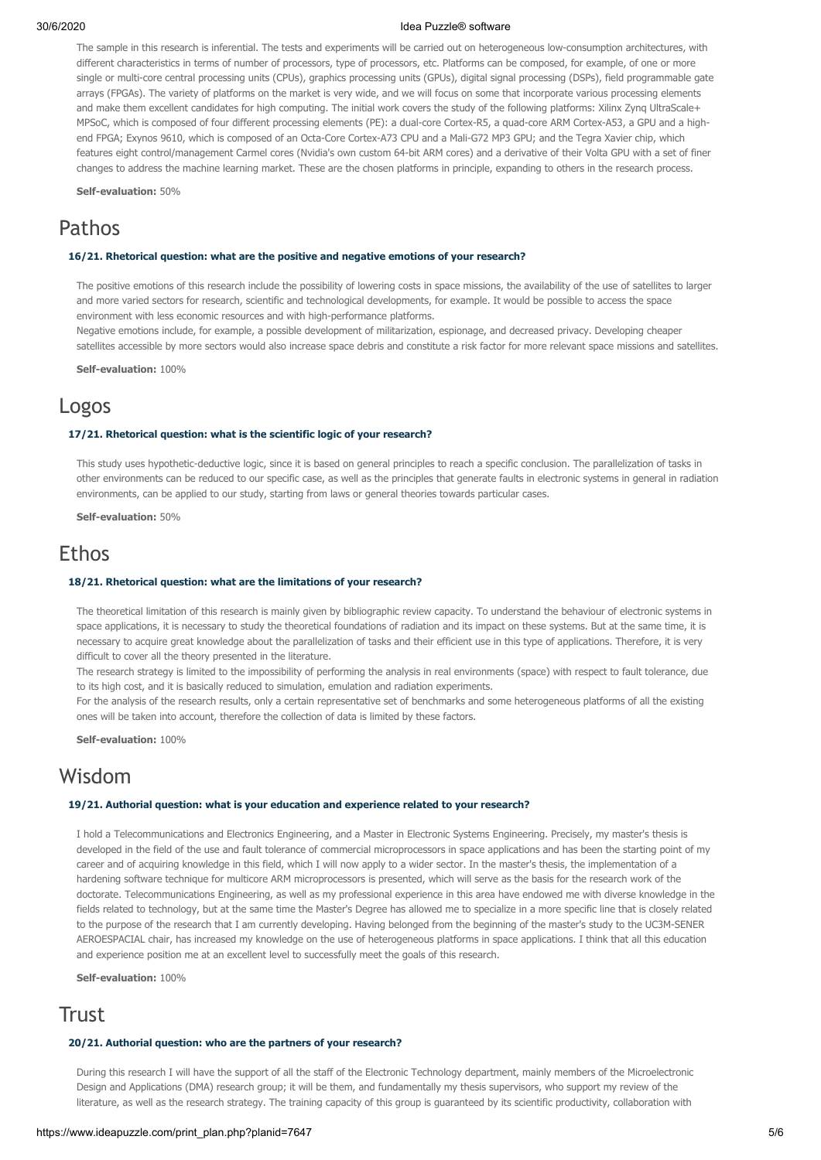The sample in this research is inferential. The tests and experiments will be carried out on heterogeneous low-consumption architectures, with different characteristics in terms of number of processors, type of processors, etc. Platforms can be composed, for example, of one or more single or multi-core central processing units (CPUs), graphics processing units (GPUs), digital signal processing (DSPs), field programmable gate arrays (FPGAs). The variety of platforms on the market is very wide, and we will focus on some that incorporate various processing elements and make them excellent candidates for high computing. The initial work covers the study of the following platforms: Xilinx Zynq UltraScale+ MPSoC, which is composed of four different processing elements (PE): a dual-core Cortex-R5, a quad-core ARM Cortex-A53, a GPU and a highend FPGA; Exynos 9610, which is composed of an Octa-Core Cortex-A73 CPU and a Mali-G72 MP3 GPU; and the Tegra Xavier chip, which features eight control/management Carmel cores (Nvidia's own custom 64-bit ARM cores) and a derivative of their Volta GPU with a set of finer changes to address the machine learning market. These are the chosen platforms in principle, expanding to others in the research process.

**Self-evaluation:** 50%

### Pathos

#### **16/21. Rhetorical question: what are the positive and negative emotions of your research?**

The positive emotions of this research include the possibility of lowering costs in space missions, the availability of the use of satellites to larger and more varied sectors for research, scientific and technological developments, for example. It would be possible to access the space environment with less economic resources and with high-performance platforms.

Negative emotions include, for example, a possible development of militarization, espionage, and decreased privacy. Developing cheaper satellites accessible by more sectors would also increase space debris and constitute a risk factor for more relevant space missions and satellites.

**Self-evaluation:** 100%

### Logos

### **17/21. Rhetorical question: what is the scientific logic of your research?**

This study uses hypothetic-deductive logic, since it is based on general principles to reach a specific conclusion. The parallelization of tasks in other environments can be reduced to our specific case, as well as the principles that generate faults in electronic systems in general in radiation environments, can be applied to our study, starting from laws or general theories towards particular cases.

**Self-evaluation:** 50%

### Ethos

### **18/21. Rhetorical question: what are the limitations of your research?**

The theoretical limitation of this research is mainly given by bibliographic review capacity. To understand the behaviour of electronic systems in space applications, it is necessary to study the theoretical foundations of radiation and its impact on these systems. But at the same time, it is necessary to acquire great knowledge about the parallelization of tasks and their efficient use in this type of applications. Therefore, it is very difficult to cover all the theory presented in the literature.

The research strategy is limited to the impossibility of performing the analysis in real environments (space) with respect to fault tolerance, due to its high cost, and it is basically reduced to simulation, emulation and radiation experiments.

For the analysis of the research results, only a certain representative set of benchmarks and some heterogeneous platforms of all the existing ones will be taken into account, therefore the collection of data is limited by these factors.

**Self-evaluation:** 100%

### Wisdom

### **19/21. Authorial question: what is your education and experience related to your research?**

I hold a Telecommunications and Electronics Engineering, and a Master in Electronic Systems Engineering. Precisely, my master's thesis is developed in the field of the use and fault tolerance of commercial microprocessors in space applications and has been the starting point of my career and of acquiring knowledge in this field, which I will now apply to a wider sector. In the master's thesis, the implementation of a hardening software technique for multicore ARM microprocessors is presented, which will serve as the basis for the research work of the doctorate. Telecommunications Engineering, as well as my professional experience in this area have endowed me with diverse knowledge in the fields related to technology, but at the same time the Master's Degree has allowed me to specialize in a more specific line that is closely related to the purpose of the research that I am currently developing. Having belonged from the beginning of the master's study to the UC3M-SENER AEROESPACIAL chair, has increased my knowledge on the use of heterogeneous platforms in space applications. I think that all this education and experience position me at an excellent level to successfully meet the goals of this research.

**Self-evaluation:** 100%

### Trust

#### **20/21. Authorial question: who are the partners of your research?**

During this research I will have the support of all the staff of the Electronic Technology department, mainly members of the Microelectronic Design and Applications (DMA) research group; it will be them, and fundamentally my thesis supervisors, who support my review of the literature, as well as the research strategy. The training capacity of this group is guaranteed by its scientific productivity, collaboration with